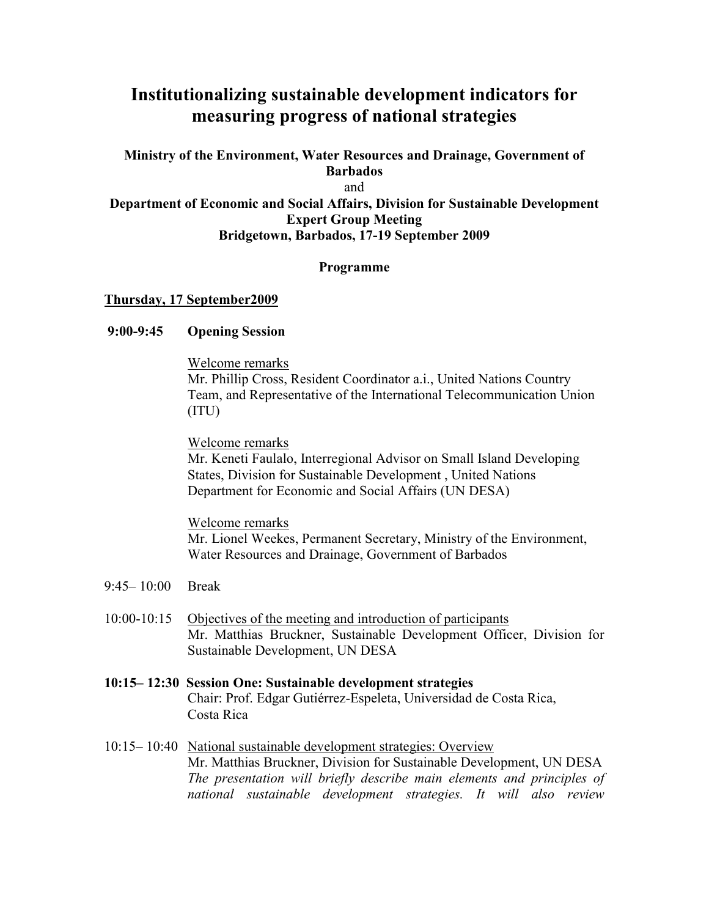# **Institutionalizing sustainable development indicators for measuring progress of national strategies**

## **Ministry of the Environment, Water Resources and Drainage, Government of Barbados**  and

### **Department of Economic and Social Affairs, Division for Sustainable Development Expert Group Meeting Bridgetown, Barbados, 17-19 September 2009**

## **Programme**

## **Thursday, 17 September2009**

## **9:00-9:45 Opening Session**

Welcome remarks Mr. Phillip Cross, Resident Coordinator a.i., United Nations Country Team, and Representative of the International Telecommunication Union (ITU)

Welcome remarks

Mr. Keneti Faulalo, Interregional Advisor on Small Island Developing States, Division for Sustainable Development , United Nations Department for Economic and Social Affairs (UN DESA)

Welcome remarks Mr. Lionel Weekes, Permanent Secretary, Ministry of the Environment, Water Resources and Drainage, Government of Barbados

- 9:45– 10:00 Break
- 10:00-10:15 Objectives of the meeting and introduction of participants Mr. Matthias Bruckner, Sustainable Development Officer, Division for Sustainable Development, UN DESA
- **10:15– 12:30 Session One: Sustainable development strategies** Chair: Prof. Edgar Gutiérrez-Espeleta, Universidad de Costa Rica, Costa Rica
- 10:15– 10:40 National sustainable development strategies: Overview Mr. Matthias Bruckner, Division for Sustainable Development, UN DESA *The presentation will briefly describe main elements and principles of national sustainable development strategies. It will also review*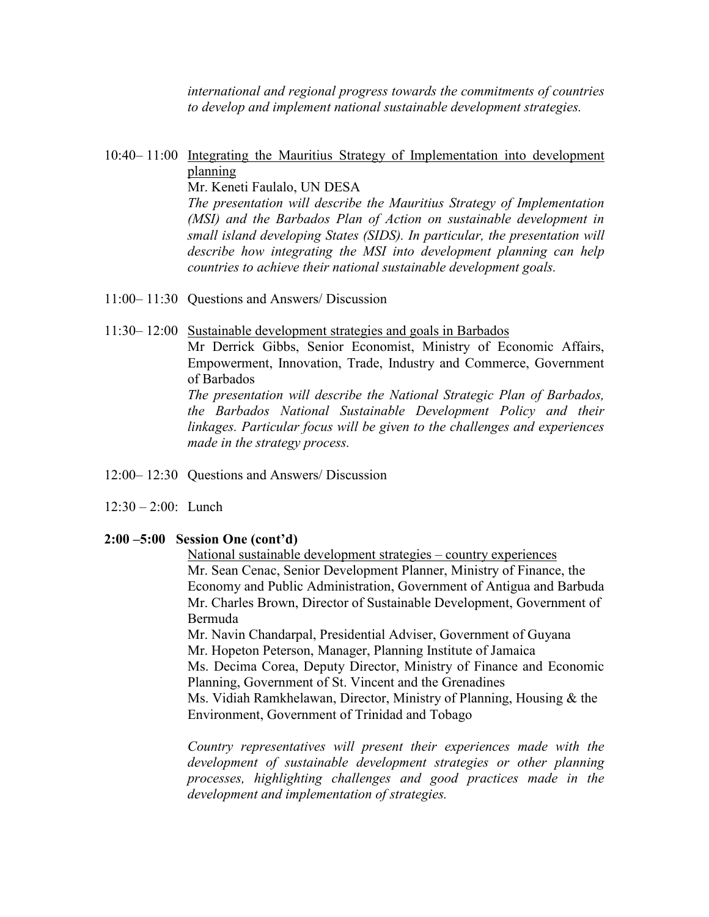*international and regional progress towards the commitments of countries to develop and implement national sustainable development strategies.* 

# 10:40– 11:00 Integrating the Mauritius Strategy of Implementation into development planning

Mr. Keneti Faulalo, UN DESA

*The presentation will describe the Mauritius Strategy of Implementation (MSI) and the Barbados Plan of Action on sustainable development in small island developing States (SIDS). In particular, the presentation will describe how integrating the MSI into development planning can help countries to achieve their national sustainable development goals.* 

- 11:00– 11:30 Questions and Answers/ Discussion
- 11:30– 12:00 Sustainable development strategies and goals in Barbados

Mr Derrick Gibbs, Senior Economist, Ministry of Economic Affairs, Empowerment, Innovation, Trade, Industry and Commerce, Government of Barbados

*The presentation will describe the National Strategic Plan of Barbados, the Barbados National Sustainable Development Policy and their linkages. Particular focus will be given to the challenges and experiences made in the strategy process.* 

- 12:00– 12:30 Questions and Answers/ Discussion
- 12:30 2:00: Lunch

## **2:00 –5:00 Session One (cont'd)**

National sustainable development strategies – country experiences Mr. Sean Cenac, Senior Development Planner, Ministry of Finance, the Economy and Public Administration, Government of Antigua and Barbuda Mr. Charles Brown, Director of Sustainable Development, Government of Bermuda

Mr. Navin Chandarpal, Presidential Adviser, Government of Guyana Mr. Hopeton Peterson, Manager, Planning Institute of Jamaica Ms. Decima Corea, Deputy Director, Ministry of Finance and Economic Planning, Government of St. Vincent and the Grenadines Ms. Vidiah Ramkhelawan, Director, Ministry of Planning, Housing & the

Environment, Government of Trinidad and Tobago

*Country representatives will present their experiences made with the development of sustainable development strategies or other planning processes, highlighting challenges and good practices made in the development and implementation of strategies.*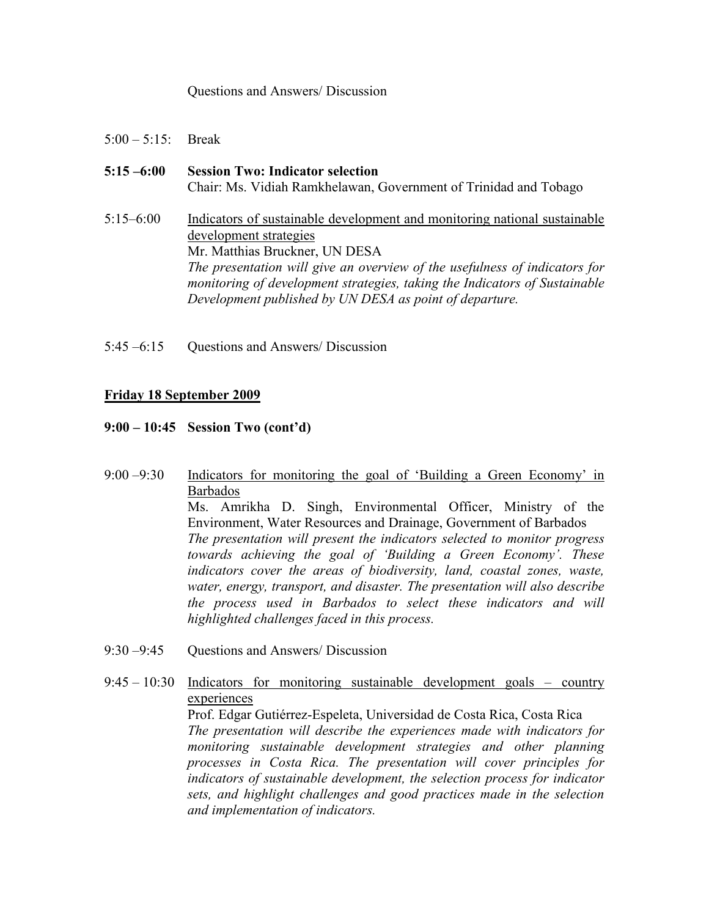#### Questions and Answers/ Discussion

- 5:00 5:15: Break
- **5:15 –6:00 Session Two: Indicator selection**  Chair: Ms. Vidiah Ramkhelawan, Government of Trinidad and Tobago 5:15–6:00 Indicators of sustainable development and monitoring national sustainable development strategies Mr. Matthias Bruckner, UN DESA *The presentation will give an overview of the usefulness of indicators for monitoring of development strategies, taking the Indicators of Sustainable Development published by UN DESA as point of departure.*
- 5:45 –6:15 Questions and Answers/ Discussion

## **Friday 18 September 2009**

- **9:00 10:45 Session Two (cont'd)**
- 9:00 –9:30 Indicators for monitoring the goal of 'Building a Green Economy' in Barbados Ms. Amrikha D. Singh, Environmental Officer, Ministry of the Environment, Water Resources and Drainage, Government of Barbados *The presentation will present the indicators selected to monitor progress towards achieving the goal of 'Building a Green Economy'. These indicators cover the areas of biodiversity, land, coastal zones, waste, water, energy, transport, and disaster. The presentation will also describe the process used in Barbados to select these indicators and will highlighted challenges faced in this process.*
- 9:30 –9:45 Questions and Answers/ Discussion

9:45 – 10:30 Indicators for monitoring sustainable development goals – country experiences Prof. Edgar Gutiérrez-Espeleta, Universidad de Costa Rica, Costa Rica *The presentation will describe the experiences made with indicators for monitoring sustainable development strategies and other planning processes in Costa Rica. The presentation will cover principles for indicators of sustainable development, the selection process for indicator sets, and highlight challenges and good practices made in the selection and implementation of indicators.*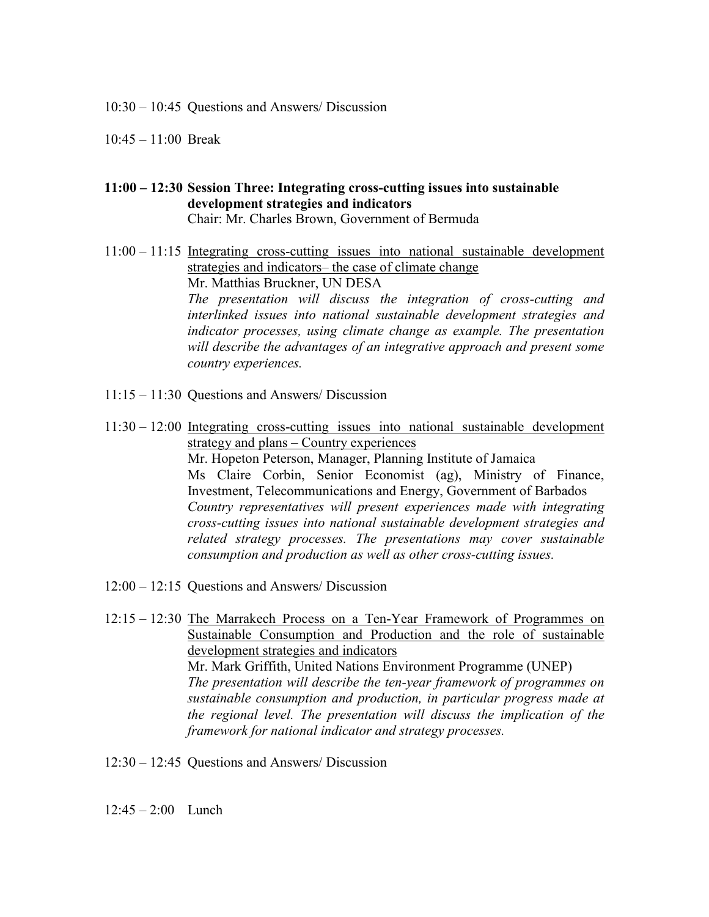10:30 – 10:45 Questions and Answers/ Discussion

- 10:45 11:00 Break
- **11:00 12:30 Session Three: Integrating cross-cutting issues into sustainable development strategies and indicators**  Chair: Mr. Charles Brown, Government of Bermuda
- 11:00 11:15 Integrating cross-cutting issues into national sustainable development strategies and indicators– the case of climate change Mr. Matthias Bruckner, UN DESA *The presentation will discuss the integration of cross-cutting and interlinked issues into national sustainable development strategies and indicator processes, using climate change as example. The presentation will describe the advantages of an integrative approach and present some country experiences.*
- 11:15 11:30 Questions and Answers/ Discussion
- 11:30 12:00 Integrating cross-cutting issues into national sustainable development strategy and plans – Country experiences Mr. Hopeton Peterson, Manager, Planning Institute of Jamaica Ms Claire Corbin, Senior Economist (ag), Ministry of Finance, Investment, Telecommunications and Energy, Government of Barbados *Country representatives will present experiences made with integrating cross-cutting issues into national sustainable development strategies and related strategy processes. The presentations may cover sustainable consumption and production as well as other cross-cutting issues.*
- 12:00 12:15 Questions and Answers/ Discussion
- 12:15 12:30 The Marrakech Process on a Ten-Year Framework of Programmes on Sustainable Consumption and Production and the role of sustainable development strategies and indicators Mr. Mark Griffith, United Nations Environment Programme (UNEP) *The presentation will describe the ten-year framework of programmes on sustainable consumption and production, in particular progress made at the regional level. The presentation will discuss the implication of the framework for national indicator and strategy processes.*
- 12:30 12:45 Questions and Answers/ Discussion
- $12:45 2:00$  Lunch